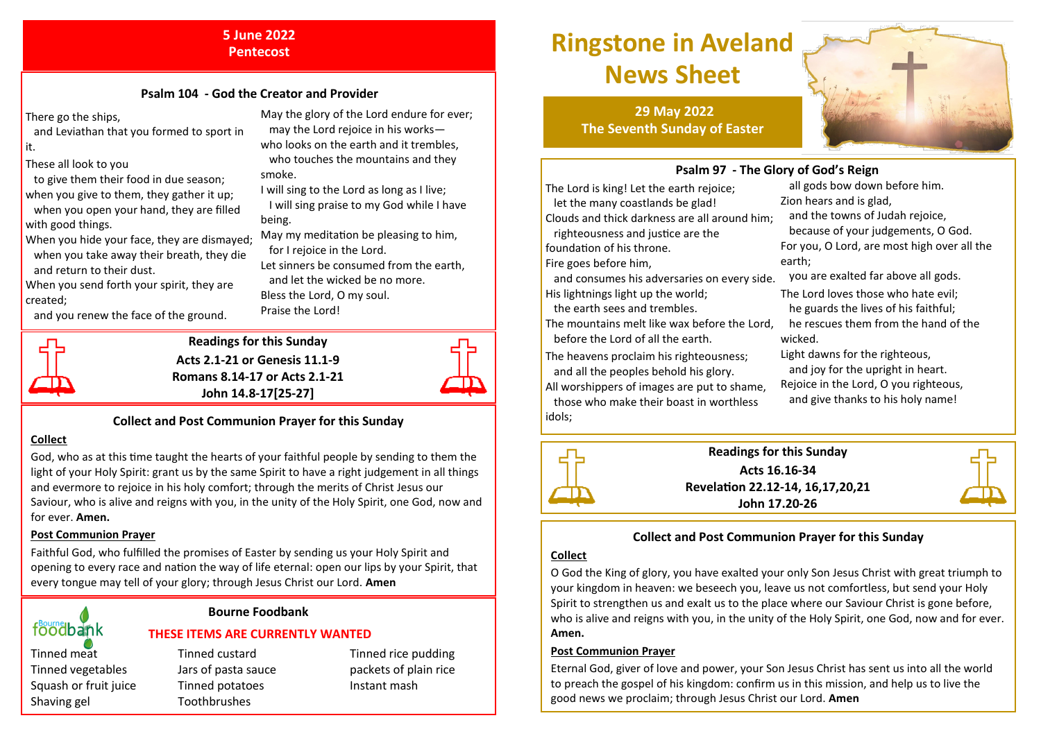#### **5 June 2022 Pentecost**

#### **Psalm 104 - God the Creator and Provider**

There go the ships,

- and Leviathan that you formed to sport in it.
- These all look to you
- to give them their food in due season; when you give to them, they gather it up; when you open your hand, they are filled with good things.
- When you hide your face, they are dismayed; when you take away their breath, they die and return to their dust.
- When you send forth your spirit, they are created;
- and you renew the face of the ground.
- May the glory of the Lord endure for ever; may the Lord rejoice in his workswho looks on the earth and it trembles, who touches the mountains and they smoke.
- I will sing to the Lord as long as I live; I will sing praise to my God while I have being.
- May my meditation be pleasing to him, for I rejoice in the Lord.
- Let sinners be consumed from the earth, and let the wicked be no more. Bless the Lord, O my soul.
- Praise the Lord!



#### **Readings for this Sunday Acts 2.1-21 or Genesis 11.1-9 Romans 8.14-17 or Acts 2.1-21**



#### **Collect and Post Communion Prayer for this Sunday**

**John 14.8-17[25-27]** 

#### **Collect**

God, who as at this time taught the hearts of your faithful people by sending to them the light of your Holy Spirit: grant us by the same Spirit to have a right judgement in all things and evermore to rejoice in his holy comfort; through the merits of Christ Jesus our Saviour, who is alive and reigns with you, in the unity of the Holy Spirit, one God, now and for ever. **Amen.**

#### **Post Communion Prayer**

Faithful God, who fulfilled the promises of Easter by sending us your Holy Spirit and opening to every race and nation the way of life eternal: open our lips by your Spirit, that every tongue may tell of your glory; through Jesus Christ our Lord. **Amen**

> **Bourne Foodbank THESE ITEMS ARE CURRENTLY WANTED**

# foodbank

Shaving gel Toothbrushes

### Tinned meat Tinned custard Tinned rice pudding Tinned vegetables Jars of pasta sauce packets of plain rice Squash or fruit juice Tinned potatoes Instant mash

## **Ringstone in Aveland News Sheet**

**29 May 2022 The Seventh Sunday of Easter**



#### **Psalm 97 - The Glory of God's Reign**

The Lord is king! Let the earth rejoice; let the many coastlands be glad! Clouds and thick darkness are all around him;

 righteousness and justice are the foundation of his throne.

Fire goes before him,

 and consumes his adversaries on every side. His lightnings light up the world;

the earth sees and trembles.

The mountains melt like wax before the Lord, before the Lord of all the earth.

The heavens proclaim his righteousness; and all the peoples behold his glory.

All worshippers of images are put to shame,

 those who make their boast in worthless idols;

 all gods bow down before him. Zion hears and is glad,

and the towns of Judah rejoice,

 because of your judgements, O God. For you, O Lord, are most high over all the earth;

- you are exalted far above all gods.
- The Lord loves those who hate evil; he guards the lives of his faithful; he rescues them from the hand of the wicked.
- Light dawns for the righteous, and joy for the upright in heart.
- Rejoice in the Lord, O you righteous,
- and give thanks to his holy name!



#### **Readings for this Sunday Acts 16.16-34 Revelation 22.12-14, 16,17,20,21 John 17.20-26**



#### **Collect and Post Communion Prayer for this Sunday**

#### **Collect**

O God the King of glory, you have exalted your only Son Jesus Christ with great triumph to your kingdom in heaven: we beseech you, leave us not comfortless, but send your Holy Spirit to strengthen us and exalt us to the place where our Saviour Christ is gone before, who is alive and reigns with you, in the unity of the Holy Spirit, one God, now and for ever. **Amen.**

#### **Post Communion Prayer**

Eternal God, giver of love and power, your Son Jesus Christ has sent us into all the world to preach the gospel of his kingdom: confirm us in this mission, and help us to live the good news we proclaim; through Jesus Christ our Lord. **Amen**